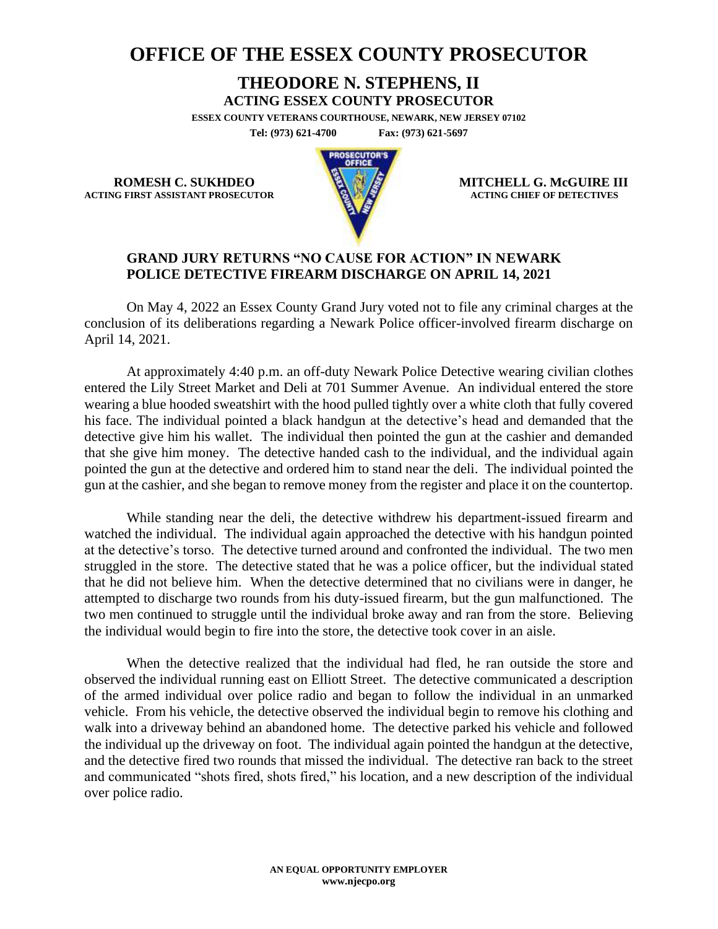## **OFFICE OF THE ESSEX COUNTY PROSECUTOR**

## **THEODORE N. STEPHENS, II**

**ACTING ESSEX COUNTY PROSECUTOR**

**ESSEX COUNTY VETERANS COURTHOUSE, NEWARK, NEW JERSEY 07102 Tel: (973) 621-4700 Fax: (973) 621-5697**

**ACTING FIRST ASSISTANT PROSECUTOR** 



**ROMESH C. SUKHDEO MITCHELL G. McGUIRE III**<br>
MITCHELL G. McGUIRE III

## **GRAND JURY RETURNS "NO CAUSE FOR ACTION" IN NEWARK POLICE DETECTIVE FIREARM DISCHARGE ON APRIL 14, 2021**

On May 4, 2022 an Essex County Grand Jury voted not to file any criminal charges at the conclusion of its deliberations regarding a Newark Police officer-involved firearm discharge on April 14, 2021.

At approximately 4:40 p.m. an off-duty Newark Police Detective wearing civilian clothes entered the Lily Street Market and Deli at 701 Summer Avenue. An individual entered the store wearing a blue hooded sweatshirt with the hood pulled tightly over a white cloth that fully covered his face. The individual pointed a black handgun at the detective's head and demanded that the detective give him his wallet. The individual then pointed the gun at the cashier and demanded that she give him money. The detective handed cash to the individual, and the individual again pointed the gun at the detective and ordered him to stand near the deli. The individual pointed the gun at the cashier, and she began to remove money from the register and place it on the countertop.

While standing near the deli, the detective withdrew his department-issued firearm and watched the individual. The individual again approached the detective with his handgun pointed at the detective's torso. The detective turned around and confronted the individual. The two men struggled in the store. The detective stated that he was a police officer, but the individual stated that he did not believe him. When the detective determined that no civilians were in danger, he attempted to discharge two rounds from his duty-issued firearm, but the gun malfunctioned. The two men continued to struggle until the individual broke away and ran from the store. Believing the individual would begin to fire into the store, the detective took cover in an aisle.

When the detective realized that the individual had fled, he ran outside the store and observed the individual running east on Elliott Street. The detective communicated a description of the armed individual over police radio and began to follow the individual in an unmarked vehicle. From his vehicle, the detective observed the individual begin to remove his clothing and walk into a driveway behind an abandoned home. The detective parked his vehicle and followed the individual up the driveway on foot. The individual again pointed the handgun at the detective, and the detective fired two rounds that missed the individual. The detective ran back to the street and communicated "shots fired, shots fired," his location, and a new description of the individual over police radio.